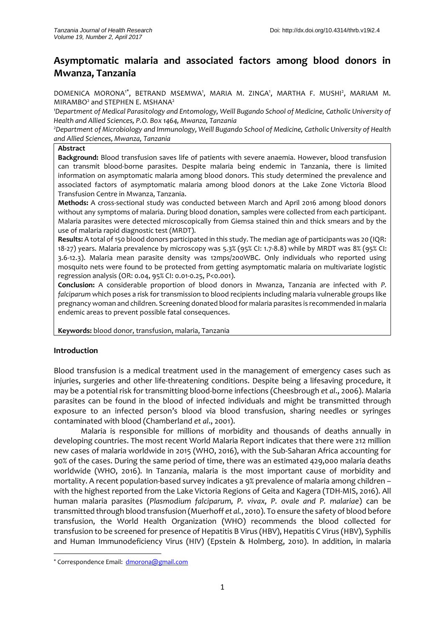# **Asymptomatic malaria and associated factors among blood donors in Mwanza, Tanzania**

DOMENICA MORONA<sup>1\*</sup>, BETRAND MSEMWA', MARIA M. ZINGA', MARTHA F. MUSHI<sup>2</sup>, MARIAM M. MIRAMBO<sup>2</sup> and STEPHEN E. MSHANA<sup>2</sup>

*1*Department of Medical Parasitology and Entomology, Weill Bugando School of Medicine, Catholic University of *Health and Allied Sciences, P.O. Box 1464, Mwanza, Tanzania* 

*<sup>2</sup>Department of Microbiology and Immunology, Weill Bugando School of Medicine, Catholic University of Health and Allied Sciences, Mwanza, Tanzania* 

#### **Abstract**

**Background:** Blood transfusion saves life of patients with severe anaemia. However, blood transfusion can transmit blood-borne parasites. Despite malaria being endemic in Tanzania, there is limited information on asymptomatic malaria among blood donors. This study determined the prevalence and associated factors of asymptomatic malaria among blood donors at the Lake Zone Victoria Blood Transfusion Centre in Mwanza, Tanzania.

**Methods:** A cross-sectional study was conducted between March and April 2016 among blood donors without any symptoms of malaria. During blood donation, samples were collected from each participant. Malaria parasites were detected microscopically from Giemsa stained thin and thick smears and by the use of malaria rapid diagnostic test (MRDT).

**Results:** A total of 150 blood donors participated in this study. The median age of participants was 20 (IQR: 18-27) years. Malaria prevalence by microscopy was 5.3% (95% CI: 1.7-8.8) while by MRDT was 8% (95% CI: 3.6-12.3). Malaria mean parasite density was 12mps/200WBC. Only individuals who reported using mosquito nets were found to be protected from getting asymptomatic malaria on multivariate logistic regression analysis (OR: 0.04, 95% CI: 0.01-0.25, P<0.001).

**Conclusion:** A considerable proportion of blood donors in Mwanza, Tanzania are infected with *P. falciparum* which poses a risk for transmission to blood recipients including malaria vulnerable groups like pregnancy woman and children. Screening donated blood for malaria parasites is recommended in malaria endemic areas to prevent possible fatal consequences.

**Keywords:** blood donor, transfusion, malaria, Tanzania

#### **Introduction**

**.** 

Blood transfusion is a medical treatment used in the management of emergency cases such as injuries, surgeries and other life-threatening conditions. Despite being a lifesaving procedure, it may be a potential risk for transmitting blood-borne infections (Cheesbrough *et al*., 2006). Malaria parasites can be found in the blood of infected individuals and might be transmitted through exposure to an infected person's blood via blood transfusion, sharing needles or syringes contaminated with blood (Chamberland *et al*., 2001).

Malaria is responsible for millions of morbidity and thousands of deaths annually in developing countries. The most recent World Malaria Report indicates that there were 212 million new cases of malaria worldwide in 2015 (WHO, 2016), with the Sub-Saharan Africa accounting for 90% of the cases. During the same period of time, there was an estimated 429,000 malaria deaths worldwide (WHO, 2016). In Tanzania, malaria is the most important cause of morbidity and mortality. A recent population-based survey indicates a 9% prevalence of malaria among children – with the highest reported from the Lake Victoria Regions of Geita and Kagera (TDH-MIS, 2016). All human malaria parasites (*Plasmodium falciparum, P. vivax, P. ovale and P. malariae*) can be transmitted through blood transfusion (Muerhoff *et al.*, 2010). To ensure the safety of blood before transfusion, the World Health Organization (WHO) recommends the blood collected for transfusion to be screened for presence of Hepatitis B Virus (HBV), Hepatitis C Virus (HBV), Syphilis and Human Immunodeficiency Virus (HIV) (Epstein & Holmberg, 2010). In addition, in malaria

<sup>\*</sup> Correspondence Email: [dmorona@gmail.com](mailto:dmorona@gmail.com)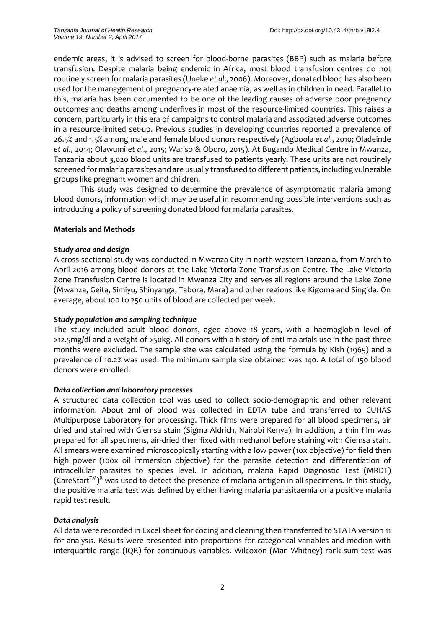endemic areas, it is advised to screen for blood-borne parasites (BBP) such as malaria before transfusion. Despite malaria being endemic in Africa, most blood transfusion centres do not routinely screen for malaria parasites (Uneke *et al*., 2006). Moreover, donated blood has also been used for the management of pregnancy-related anaemia, as well as in children in need. Parallel to this, malaria has been documented to be one of the leading causes of adverse poor pregnancy outcomes and deaths among underfives in most of the resource-limited countries. This raises a concern, particularly in this era of campaigns to control malaria and associated adverse outcomes in a resource-limited set-up. Previous studies in developing countries reported a prevalence of 26.5% and 1.5% among male and female blood donors respectively (Agboola *et al*., 2010; Oladeinde *et al.*, 2014; Olawumi *et al*., 2015; Wariso & Oboro, 2015). At Bugando Medical Centre in Mwanza, Tanzania about 3,020 blood units are transfused to patients yearly. These units are not routinely screened for malaria parasites and are usually transfused to different patients, including vulnerable groups like pregnant women and children.

This study was designed to determine the prevalence of asymptomatic malaria among blood donors, information which may be useful in recommending possible interventions such as introducing a policy of screening donated blood for malaria parasites.

# **Materials and Methods**

## *Study area and design*

A cross-sectional study was conducted in Mwanza City in north-western Tanzania, from March to April 2016 among blood donors at the Lake Victoria Zone Transfusion Centre. The Lake Victoria Zone Transfusion Centre is located in Mwanza City and serves all regions around the Lake Zone (Mwanza, Geita, Simiyu, Shinyanga, Tabora, Mara) and other regions like Kigoma and Singida. On average, about 100 to 250 units of blood are collected per week.

#### *Study population and sampling technique*

The study included adult blood donors, aged above 18 years, with a haemoglobin level of >12.5mg/dl and a weight of >50kg. All donors with a history of anti-malarials use in the past three months were excluded. The sample size was calculated using the formula by Kish (1965) and a prevalence of 10.2% was used. The minimum sample size obtained was 140. A total of 150 blood donors were enrolled.

#### *Data collection and laboratory processes*

A structured data collection tool was used to collect socio-demographic and other relevant information. About 2ml of blood was collected in EDTA tube and transferred to CUHAS Multipurpose Laboratory for processing. Thick films were prepared for all blood specimens, air dried and stained with Giemsa stain (Sigma Aldrich, Nairobi Kenya). In addition, a thin film was prepared for all specimens, air-dried then fixed with methanol before staining with Giemsa stain. All smears were examined microscopically starting with a low power (10x objective) for field then high power (100x oil immersion objective) for the parasite detection and differentiation of intracellular parasites to species level. In addition, malaria Rapid Diagnostic Test (MRDT) (CareStart<sup>™)R</sup> was used to detect the presence of malaria antigen in all specimens. In this study, the positive malaria test was defined by either having malaria parasitaemia or a positive malaria rapid test result.

#### *Data analysis*

All data were recorded in Excel sheet for coding and cleaning then transferred to STATA version 11 for analysis. Results were presented into proportions for categorical variables and median with interquartile range (IQR) for continuous variables. Wilcoxon (Man Whitney) rank sum test was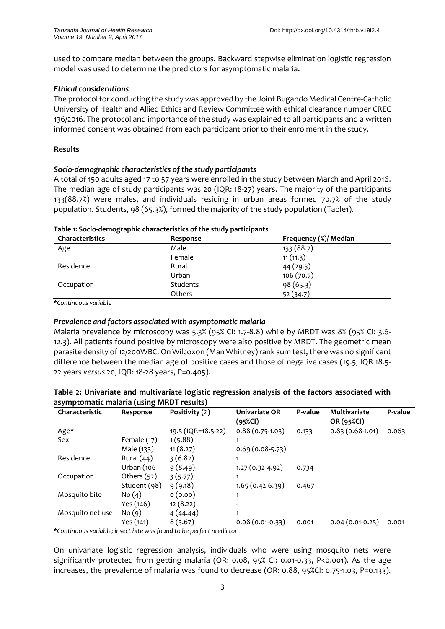used to compare median between the groups. Backward stepwise elimination logistic regression model was used to determine the predictors for asymptomatic malaria.

# *Ethical considerations*

The protocol for conducting the study was approved by the Joint Bugando Medical Centre-Catholic University of Health and Allied Ethics and Review Committee with ethical clearance number CREC 136/2016. The protocol and importance of the study was explained to all participants and a written informed consent was obtained from each participant prior to their enrolment in the study.

# **Results**

# *Socio-demographic characteristics of the study participants*

A total of 150 adults aged 17 to 57 years were enrolled in the study between March and April 2016. The median age of study participants was 20 (IQR: 18-27) years. The majority of the participants 133(88.7%) were males, and individuals residing in urban areas formed 70.7% of the study population. Students, 98 (65.3%), formed the majority of the study population (Table1).

| <b>Characteristics</b> | Response      | Frequency (%)/ Median<br>133 (88.7) |  |  |
|------------------------|---------------|-------------------------------------|--|--|
| Age                    | Male          |                                     |  |  |
|                        | Female        | 11(11.3)                            |  |  |
| Residence              | Rural         | 44(29.3)                            |  |  |
|                        | Urban         | 106(70.7)                           |  |  |
| Occupation             | Students      | 98(65.3)                            |  |  |
|                        | <b>Others</b> | 52 (34.7)                           |  |  |

#### **Table 1: Socio-demographic characteristics of the study participants**

*\*Continuous variable*

# *Prevalence and factors associated with asymptomatic malaria*

Malaria prevalence by microscopy was 5.3% (95% CI: 1.7-8.8) while by MRDT was 8% (95% CI: 3.6- 12.3). All patients found positive by microscopy were also positive by MRDT. The geometric mean parasite density of 12/200WBC. On Wilcoxon (Man Whitney) rank sum test, there was no significant difference between the median age of positive cases and those of negative cases (19.5, IQR 18.5- 22 years *versus* 20, IQR: 18-28 years, P=0.405).

| Characteristic   | Response      | Positivity (%)     | <b>Univariate OR</b><br>(95%CI) | P-value | Multivariate<br>OR (95%CI) | P-value |
|------------------|---------------|--------------------|---------------------------------|---------|----------------------------|---------|
| Age*             |               | 19.5 (IQR=18.5-22) | $0.88(0.75-1.03)$               | 0.133   | $0.83(0.68-1.01)$          | 0.063   |
| Sex              | Female $(17)$ | 1(5.88)            |                                 |         |                            |         |
|                  | Male (133)    | 11(8.27)           | $0.69(0.08-5.73)$               |         |                            |         |
| Residence        | Rural $(44)$  | 3(6.82)            |                                 |         |                            |         |
|                  | Urban (106    | 9(8.49)            | $1.27(0.32-4.92)$               | 0.734   |                            |         |
| Occupation       | Others $(52)$ | 3(5.77)            |                                 |         |                            |         |
|                  | Student (98)  | 9(9.18)            | $1.65(0.42-6.39)$               | 0.467   |                            |         |
| Mosquito bite    | No(4)         | 0(0.00)            | 1                               |         |                            |         |
|                  | Yes (146)     | 12(8.22)           |                                 |         |                            |         |
| Mosquito net use | No(9)         | 4(44.44)           | 1                               |         |                            |         |
|                  | Yes (141)     | 8(5.67)            | $0.08(0.01-0.33)$               | 0.001   | $0.04(0.01-0.25)$          | 0.001   |

## **Table 2: Univariate and multivariate logistic regression analysis of the factors associated with asymptomatic malaria (using MRDT results)**

*\*Continuous variable; insect bite was found to be perfect predictor*

On univariate logistic regression analysis, individuals who were using mosquito nets were significantly protected from getting malaria (OR: 0.08, 95% CI: 0.01-0.33, P<0.001). As the age increases, the prevalence of malaria was found to decrease (OR: 0.88, 95%CI: 0.75-1.03, P=0.133).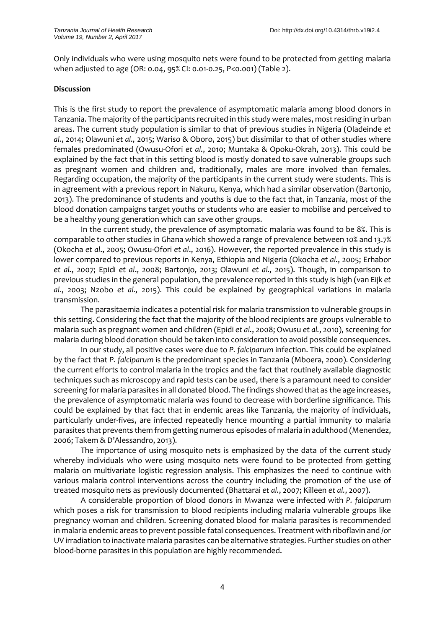Only individuals who were using mosquito nets were found to be protected from getting malaria when adjusted to age (OR: 0.04, 95% CI: 0.01-0.25, P<0.001) (Table 2).

## **Discussion**

This is the first study to report the prevalence of asymptomatic malaria among blood donors in Tanzania. The majority of the participants recruited in this study were males, mostresiding in urban areas. The current study population is similar to that of previous studies in Nigeria (Oladeinde *et al.*, 2014; Olawuni *et al.,* 2015; Wariso & Oboro, 2015) but dissimilar to that of other studies where females predominated (Owusu-Ofori *et al.*, 2010; Muntaka & Opoku-Okrah, 2013). This could be explained by the fact that in this setting blood is mostly donated to save vulnerable groups such as pregnant women and children and, traditionally, males are more involved than females. Regarding occupation, the majority of the participants in the current study were students. This is in agreement with a previous report in Nakuru, Kenya, which had a similar observation (Bartonjo, 2013). The predominance of students and youths is due to the fact that, in Tanzania, most of the blood donation campaigns target youths or students who are easier to mobilise and perceived to be a healthy young generation which can save other groups.

In the current study, the prevalence of asymptomatic malaria was found to be 8%. This is comparable to other studies in Ghana which showed a range of prevalence between 10% and 13.7% (Okocha *et al*., 2005; Owusu-Ofori *et al*., 2016). However, the reported prevalence in this study is lower compared to previous reports in Kenya, Ethiopia and Nigeria (Okocha *et al.*, 2005; Erhabor *et al.*, 2007; Epidi *et al*., 2008; Bartonjo, 2013; Olawuni *et al.,* 2015). Though, in comparison to previous studies in the general population, the prevalence reported in this study is high (van Eijk *et al.*, 2003; Nzobo *et al.,* 2015). This could be explained by geographical variations in malaria transmission.

The parasitaemia indicates a potential risk for malaria transmission to vulnerable groups in this setting. Considering the fact that the majority of the blood recipients are groups vulnerable to malaria such as pregnant women and children (Epidi *et al.*, 2008; Owusu *et al.*, 2010), screening for malaria during blood donation should be taken into consideration to avoid possible consequences.

In our study, all positive cases were due to *P. falciparum* infection. This could be explained by the fact that *P. falciparum* is the predominant species in Tanzania (Mboera, 2000). Considering the current efforts to control malaria in the tropics and the fact that routinely available diagnostic techniques such as microscopy and rapid tests can be used, there is a paramount need to consider screening for malaria parasites in all donated blood. The findings showed that as the age increases, the prevalence of asymptomatic malaria was found to decrease with borderline significance. This could be explained by that fact that in endemic areas like Tanzania, the majority of individuals, particularly under-fives, are infected repeatedly hence mounting a partial immunity to malaria parasites that prevents them from getting numerous episodes of malaria in adulthood (Menendez, 2006; Takem & D'Alessandro, 2013).

The importance of using mosquito nets is emphasized by the data of the current study whereby individuals who were using mosquito nets were found to be protected from getting malaria on multivariate logistic regression analysis. This emphasizes the need to continue with various malaria control interventions across the country including the promotion of the use of treated mosquito nets as previously documented (Bhattarai *et al.*, 2007; Killeen *et al.*, 2007).

A considerable proportion of blood donors in Mwanza were infected with *P. falciparum* which poses a risk for transmission to blood recipients including malaria vulnerable groups like pregnancy woman and children. Screening donated blood for malaria parasites is recommended in malaria endemic areas to prevent possible fatal consequences. Treatment with riboflavin and /or UV irradiation to inactivate malaria parasites can be alternative strategies. Further studies on other blood-borne parasites in this population are highly recommended.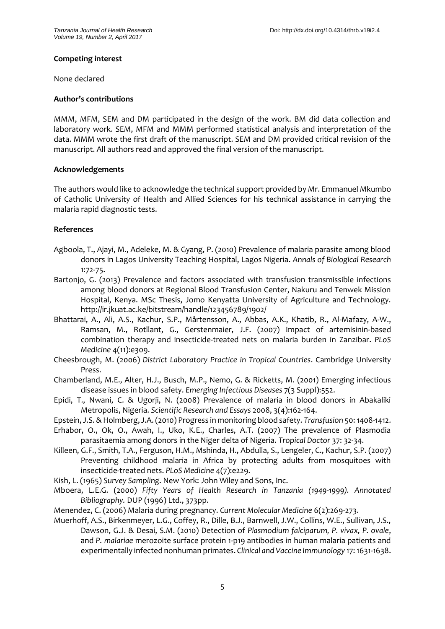## **Competing interest**

None declared

#### **Author's contributions**

MMM, MFM, SEM and DM participated in the design of the work. BM did data collection and laboratory work. SEM, MFM and MMM performed statistical analysis and interpretation of the data. MMM wrote the first draft of the manuscript. SEM and DM provided critical revision of the manuscript. All authors read and approved the final version of the manuscript.

## **Acknowledgements**

The authors would like to acknowledge the technical support provided by Mr. Emmanuel Mkumbo of Catholic University of Health and Allied Sciences for his technical assistance in carrying the malaria rapid diagnostic tests.

## **References**

- Agboola, T., Ajayi, M., Adeleke, M. & Gyang, P. (2010) Prevalence of malaria parasite among blood donors in Lagos University Teaching Hospital, Lagos Nigeria. *Annals of Biological Research*  1:72-75.
- Bartonjo, G. (2013) Prevalence and factors associated with transfusion transmissible infections among blood donors at Regional Blood Transfusion Center, Nakuru and Tenwek Mission Hospital, Kenya. MSc Thesis, Jomo Kenyatta University of Agriculture and Technology. http://ir.jkuat.ac.ke/bitstream/handle/123456789/1902/
- Bhattarai, A., Ali, A.S., Kachur, S.P., Mårtensson, A., Abbas, A.K., Khatib, R., Al-Mafazy, A-W., Ramsan, M., Rotllant, G., Gerstenmaier, J.F. (2007) Impact of artemisinin-based combination therapy and insecticide-treated nets on malaria burden in Zanzibar. *PLoS Medicine* 4(11):e309.
- Cheesbrough, M. (2006) *District Laboratory Practice in Tropical Countries*. Cambridge University Press.
- Chamberland, M.E., Alter, H.J., Busch, M.P., Nemo, G. & Ricketts, M. (2001) Emerging infectious disease issues in blood safety. *Emerging Infectious Diseases* 7(3 Suppl):552.
- Epidi, T., Nwani, C. & Ugorji, N. (2008) Prevalence of malaria in blood donors in Abakaliki Metropolis, Nigeria. *Scientific Research and Essays* 2008, 3(4):162-164.
- Epstein, J.S. & Holmberg, J.A. (2010) Progress in monitoring blood safety. *Transfusion* 50:1408-1412.
- Erhabor, O., Ok, O., Awah, I., Uko, K.E., Charles, A.T. (2007) The prevalence of Plasmodia parasitaemia among donors in the Niger delta of Nigeria. *Tropical Doctor* 37: 32-34.
- Killeen, G.F., Smith, T.A., Ferguson, H.M., Mshinda, H., Abdulla, S., Lengeler, C., Kachur, S.P. (2007) Preventing childhood malaria in Africa by protecting adults from mosquitoes with insecticide-treated nets. *PLoS Medicine* 4(7):e229.
- Kish, L. (1965) *Survey Sampling*. New York: John Wiley and Sons, Inc.
- Mboera, L.E.G. (2000) *Fifty Years of Health Research in Tanzania (1949-1999). Annotated Bibliography.* DUP (1996) Ltd., 373pp.
- Menendez, C. (2006) Malaria during pregnancy. *Current Molecular Medicine* 6(2):269-273.
- Muerhoff, A.S., Birkenmeyer, L.G., Coffey, R., Dille, B.J., Barnwell, J.W., Collins, W.E., Sullivan, J.S., Dawson, G.J. & Desai, S.M. (2010) Detection of *Plasmodium falciparum, P. vivax, P. ovale*, and *P. malariae* merozoite surface protein 1-p19 antibodies in human malaria patients and experimentally infected nonhuman primates. *Clinical and Vaccine Immunology* 17: 1631-1638.